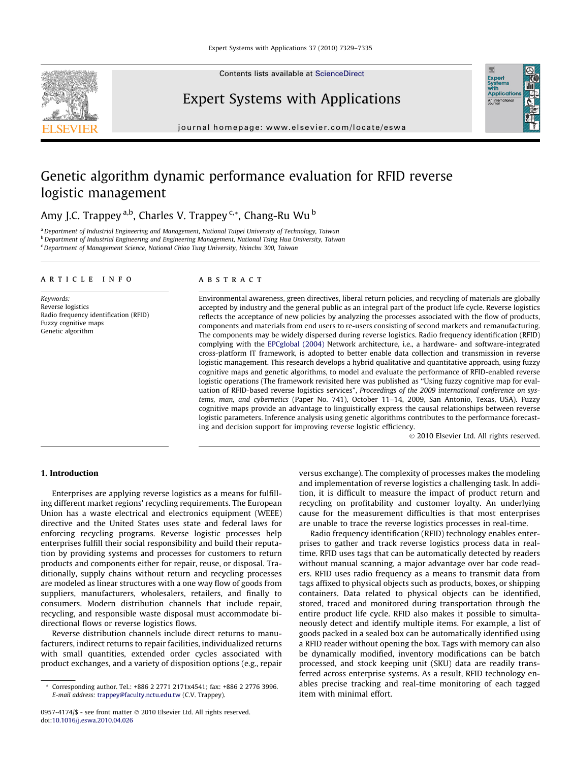

Contents lists available at [ScienceDirect](http://www.sciencedirect.com/science/journal/09574174)

### Expert Systems with Applications

journal homepage: [www.elsevier.com/locate/eswa](http://www.elsevier.com/locate/eswa)

## Genetic algorithm dynamic performance evaluation for RFID reverse logistic management

Amy J.C. Trappey<sup>a,b</sup>, Charles V. Trappey<sup>c,\*</sup>, Chang-Ru Wu<sup>b</sup>

a Department of Industrial Engineering and Management, National Taipei University of Technology, Taiwan <sup>b</sup> Department of Industrial Engineering and Engineering Management, National Tsing Hua University, Taiwan <sup>c</sup> Department of Management Science, National Chiao Tung University, Hsinchu 300, Taiwan

#### article info

Keywords: Reverse logistics Radio frequency identification (RFID) Fuzzy cognitive maps Genetic algorithm

#### **ABSTRACT**

Environmental awareness, green directives, liberal return policies, and recycling of materials are globally accepted by industry and the general public as an integral part of the product life cycle. Reverse logistics reflects the acceptance of new policies by analyzing the processes associated with the flow of products, components and materials from end users to re-users consisting of second markets and remanufacturing. The components may be widely dispersed during reverse logistics. Radio frequency identification (RFID) complying with the [EPCglobal \(2004\)](#page--1-0) Network architecture, i.e., a hardware- and software-integrated cross-platform IT framework, is adopted to better enable data collection and transmission in reverse logistic management. This research develops a hybrid qualitative and quantitative approach, using fuzzy cognitive maps and genetic algorithms, to model and evaluate the performance of RFID-enabled reverse logistic operations (The framework revisited here was published as ''Using fuzzy cognitive map for evaluation of RFID-based reverse logistics services", Proceedings of the 2009 international conference on systems, man, and cybernetics (Paper No. 741), October 11–14, 2009, San Antonio, Texas, USA). Fuzzy cognitive maps provide an advantage to linguistically express the causal relationships between reverse logistic parameters. Inference analysis using genetic algorithms contributes to the performance forecasting and decision support for improving reverse logistic efficiency.

- 2010 Elsevier Ltd. All rights reserved.

Expert<br>Systems<br>with<br>Applicati

#### 1. Introduction

Enterprises are applying reverse logistics as a means for fulfilling different market regions' recycling requirements. The European Union has a waste electrical and electronics equipment (WEEE) directive and the United States uses state and federal laws for enforcing recycling programs. Reverse logistic processes help enterprises fulfill their social responsibility and build their reputation by providing systems and processes for customers to return products and components either for repair, reuse, or disposal. Traditionally, supply chains without return and recycling processes are modeled as linear structures with a one way flow of goods from suppliers, manufacturers, wholesalers, retailers, and finally to consumers. Modern distribution channels that include repair, recycling, and responsible waste disposal must accommodate bidirectional flows or reverse logistics flows.

Reverse distribution channels include direct returns to manufacturers, indirect returns to repair facilities, individualized returns with small quantities, extended order cycles associated with product exchanges, and a variety of disposition options (e.g., repair versus exchange). The complexity of processes makes the modeling and implementation of reverse logistics a challenging task. In addition, it is difficult to measure the impact of product return and recycling on profitability and customer loyalty. An underlying cause for the measurement difficulties is that most enterprises are unable to trace the reverse logistics processes in real-time.

Radio frequency identification (RFID) technology enables enterprises to gather and track reverse logistics process data in realtime. RFID uses tags that can be automatically detected by readers without manual scanning, a major advantage over bar code readers. RFID uses radio frequency as a means to transmit data from tags affixed to physical objects such as products, boxes, or shipping containers. Data related to physical objects can be identified, stored, traced and monitored during transportation through the entire product life cycle. RFID also makes it possible to simultaneously detect and identify multiple items. For example, a list of goods packed in a sealed box can be automatically identified using a RFID reader without opening the box. Tags with memory can also be dynamically modified, inventory modifications can be batch processed, and stock keeping unit (SKU) data are readily transferred across enterprise systems. As a result, RFID technology enables precise tracking and real-time monitoring of each tagged item with minimal effort.

Corresponding author. Tel.: +886 2 2771 2171x4541; fax: +886 2 2776 3996. E-mail address: [trappey@faculty.nctu.edu.tw](mailto:trappey@faculty.nctu.edu.tw) (C.V. Trappey).

<sup>0957-4174/\$ -</sup> see front matter © 2010 Elsevier Ltd. All rights reserved. doi[:10.1016/j.eswa.2010.04.026](http://dx.doi.org/10.1016/j.eswa.2010.04.026)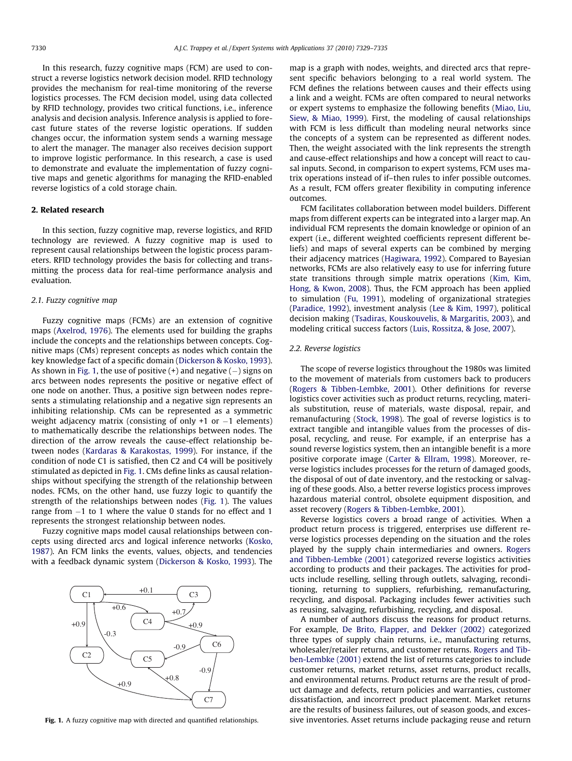In this research, fuzzy cognitive maps (FCM) are used to construct a reverse logistics network decision model. RFID technology provides the mechanism for real-time monitoring of the reverse logistics processes. The FCM decision model, using data collected by RFID technology, provides two critical functions, i.e., inference analysis and decision analysis. Inference analysis is applied to forecast future states of the reverse logistic operations. If sudden changes occur, the information system sends a warning message to alert the manager. The manager also receives decision support to improve logistic performance. In this research, a case is used to demonstrate and evaluate the implementation of fuzzy cognitive maps and genetic algorithms for managing the RFID-enabled reverse logistics of a cold storage chain.

#### 2. Related research

In this section, fuzzy cognitive map, reverse logistics, and RFID technology are reviewed. A fuzzy cognitive map is used to represent causal relationships between the logistic process parameters. RFID technology provides the basis for collecting and transmitting the process data for real-time performance analysis and evaluation.

#### 2.1. Fuzzy cognitive map

Fuzzy cognitive maps (FCMs) are an extension of cognitive maps [\(Axelrod, 1976](#page--1-0)). The elements used for building the graphs include the concepts and the relationships between concepts. Cognitive maps (CMs) represent concepts as nodes which contain the key knowledge fact of a specific domain [\(Dickerson & Kosko, 1993\)](#page--1-0). As shown in Fig. 1, the use of positive (+) and negative (– ) signs on arcs between nodes represents the positive or negative effect of one node on another. Thus, a positive sign between nodes represents a stimulating relationship and a negative sign represents an inhibiting relationship. CMs can be represented as a symmetric weight adjacency matrix (consisting of only +1 or -1 elements) to mathematically describe the relationships between nodes. The direction of the arrow reveals the cause-effect relationship between nodes [\(Kardaras & Karakostas, 1999\)](#page--1-0). For instance, if the condition of node C1 is satisfied, then C2 and C4 will be positively stimulated as depicted in Fig. 1. CMs define links as causal relationships without specifying the strength of the relationship between nodes. FCMs, on the other hand, use fuzzy logic to quantify the strength of the relationships between nodes (Fig. 1). The values range from -1 to 1 where the value 0 stands for no effect and 1 represents the strongest relationship between nodes.

Fuzzy cognitive maps model causal relationships between concepts using directed arcs and logical inference networks [\(Kosko,](#page--1-0) [1987\)](#page--1-0). An FCM links the events, values, objects, and tendencies with a feedback dynamic system ([Dickerson & Kosko, 1993\)](#page--1-0). The



Fig. 1. A fuzzy cognitive map with directed and quantified relationships.

map is a graph with nodes, weights, and directed arcs that represent specific behaviors belonging to a real world system. The FCM defines the relations between causes and their effects using a link and a weight. FCMs are often compared to neural networks or expert systems to emphasize the following benefits ([Miao, Liu,](#page--1-0) [Siew, & Miao, 1999\)](#page--1-0). First, the modeling of causal relationships with FCM is less difficult than modeling neural networks since the concepts of a system can be represented as different nodes. Then, the weight associated with the link represents the strength and cause-effect relationships and how a concept will react to causal inputs. Second, in comparison to expert systems, FCM uses matrix operations instead of if–then rules to infer possible outcomes. As a result, FCM offers greater flexibility in computing inference outcomes.

FCM facilitates collaboration between model builders. Different maps from different experts can be integrated into a larger map. An individual FCM represents the domain knowledge or opinion of an expert (i.e., different weighted coefficients represent different beliefs) and maps of several experts can be combined by merging their adjacency matrices ([Hagiwara, 1992](#page--1-0)). Compared to Bayesian networks, FCMs are also relatively easy to use for inferring future state transitions through simple matrix operations [\(Kim, Kim,](#page--1-0) [Hong, & Kwon, 2008\)](#page--1-0). Thus, the FCM approach has been applied to simulation ([Fu, 1991](#page--1-0)), modeling of organizational strategies ([Paradice, 1992\)](#page--1-0), investment analysis ([Lee & Kim, 1997](#page--1-0)), political decision making ([Tsadiras, Kouskouvelis, & Margaritis, 2003](#page--1-0)), and modeling critical success factors [\(Luis, Rossitza, & Jose, 2007](#page--1-0)).

#### 2.2. Reverse logistics

The scope of reverse logistics throughout the 1980s was limited to the movement of materials from customers back to producers ([Rogers & Tibben-Lembke, 2001](#page--1-0)). Other definitions for reverse logistics cover activities such as product returns, recycling, materials substitution, reuse of materials, waste disposal, repair, and remanufacturing [\(Stock, 1998\)](#page--1-0). The goal of reverse logistics is to extract tangible and intangible values from the processes of disposal, recycling, and reuse. For example, if an enterprise has a sound reverse logistics system, then an intangible benefit is a more positive corporate image [\(Carter & Ellram, 1998](#page--1-0)). Moreover, reverse logistics includes processes for the return of damaged goods, the disposal of out of date inventory, and the restocking or salvaging of these goods. Also, a better reverse logistics process improves hazardous material control, obsolete equipment disposition, and asset recovery ([Rogers & Tibben-Lembke, 2001\)](#page--1-0).

Reverse logistics covers a broad range of activities. When a product return process is triggered, enterprises use different reverse logistics processes depending on the situation and the roles played by the supply chain intermediaries and owners. [Rogers](#page--1-0) [and Tibben-Lembke \(2001\)](#page--1-0) categorized reverse logistics activities according to products and their packages. The activities for products include reselling, selling through outlets, salvaging, reconditioning, returning to suppliers, refurbishing, remanufacturing, recycling, and disposal. Packaging includes fewer activities such as reusing, salvaging, refurbishing, recycling, and disposal.

A number of authors discuss the reasons for product returns. For example, [De Brito, Flapper, and Dekker \(2002\)](#page--1-0) categorized three types of supply chain returns, i.e., manufacturing returns, wholesaler/retailer returns, and customer returns. [Rogers and Tib](#page--1-0)[ben-Lembke \(2001\)](#page--1-0) extend the list of returns categories to include customer returns, market returns, asset returns, product recalls, and environmental returns. Product returns are the result of product damage and defects, return policies and warranties, customer dissatisfaction, and incorrect product placement. Market returns are the results of business failures, out of season goods, and excessive inventories. Asset returns include packaging reuse and return